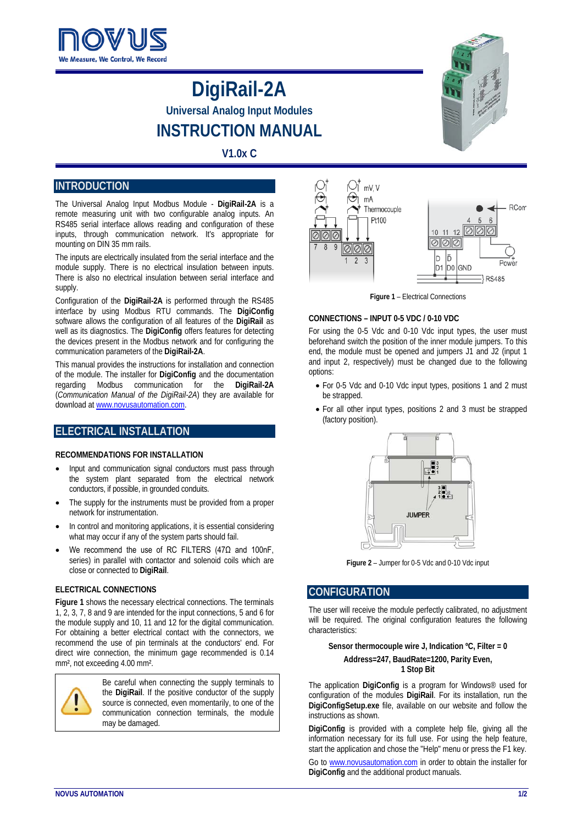

# **DigiRail-2A Universal Analog Input Modules INSTRUCTION MANUAL**

# **V1.0x C**

## **INTRODUCTION**

The Universal Analog Input Modbus Module - **DigiRail-2A** is a remote measuring unit with two configurable analog inputs. An RS485 serial interface allows reading and configuration of these inputs, through communication network. It's appropriate for mounting on DIN 35 mm rails.

The inputs are electrically insulated from the serial interface and the module supply. There is no electrical insulation between inputs. There is also no electrical insulation between serial interface and supply.

Configuration of the **DigiRail-2A** is performed through the RS485 interface by using Modbus RTU commands. The **DigiConfig** software allows the configuration of all features of the **DigiRail** as well as its diagnostics. The **DigiConfig** offers features for detecting the devices present in the Modbus network and for configuring the communication parameters of the **DigiRail-2A**.

This manual provides the instructions for installation and connection of the module. The installer for **DigiConfig** and the documentation regarding Modbus communication for the **DigiRail-2A** (*Communication Manual of the DigiRail-2A*) they are available for download at www.novusautomation.com.

# **ELECTRICAL INSTALLATION**

#### **RECOMMENDATIONS FOR INSTALLATION**

- Input and communication signal conductors must pass through the system plant separated from the electrical network conductors, if possible, in grounded conduits.
- The supply for the instruments must be provided from a proper network for instrumentation.
- In control and monitoring applications, it is essential considering what may occur if any of the system parts should fail.
- We recommend the use of RC FILTERS (47 $\Omega$  and 100nF, series) in parallel with contactor and solenoid coils which are close or connected to **DigiRail**.

#### **ELECTRICAL CONNECTIONS**

**Figure 1** shows the necessary electrical connections. The terminals 1, 2, 3, 7, 8 and 9 are intended for the input connections, 5 and 6 for the module supply and 10, 11 and 12 for the digital communication. For obtaining a better electrical contact with the connectors, we recommend the use of pin terminals at the conductors' end. For direct wire connection, the minimum gage recommended is 0.14 mm², not exceeding 4.00 mm².



Be careful when connecting the supply terminals to the **DigiRail**. If the positive conductor of the supply source is connected, even momentarily, to one of the communication connection terminals, the module may be damaged.



**Figure 1** – Electrical Connections

#### **CONNECTIONS – INPUT 0-5 VDC / 0-10 VDC**

For using the 0-5 Vdc and 0-10 Vdc input types, the user must beforehand switch the position of the inner module jumpers. To this end, the module must be opened and jumpers J1 and J2 (input 1 and input 2, respectively) must be changed due to the following options:

- For 0-5 Vdc and 0-10 Vdc input types, positions 1 and 2 must be strapped.
- For all other input types, positions 2 and 3 must be strapped (factory position).



**Figure 2** – Jumper for 0-5 Vdc and 0-10 Vdc input

## **CONFIGURATION**

The user will receive the module perfectly calibrated, no adjustment will be required. The original configuration features the following characteristics:

**Sensor thermocouple wire J, Indication ºC, Filter = 0 Address=247, BaudRate=1200, Parity Even, 1 Stop Bit**

The application **DigiConfig** is a program for Windows® used for configuration of the modules **DigiRail**. For its installation, run the **DigiConfigSetup.exe** file, available on our website and follow the instructions as shown.

**DigiConfig** is provided with a complete help file, giving all the information necessary for its full use. For using the help feature, start the application and chose the "Help" menu or press the F1 key.

Go to [www.novusautomation.com](http://www.novusautomation.com/) in order to obtain the installer for **DigiConfig** and the additional product manuals.